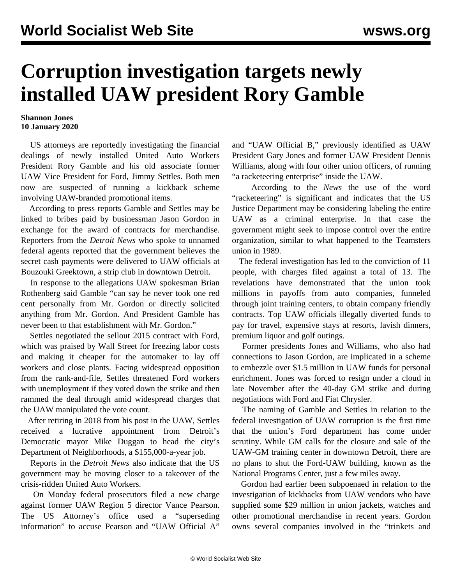## **Corruption investigation targets newly installed UAW president Rory Gamble**

## **Shannon Jones 10 January 2020**

 US attorneys are reportedly investigating the financial dealings of newly installed United Auto Workers President Rory Gamble and his old associate former UAW Vice President for Ford, Jimmy Settles. Both men now are suspected of running a kickback scheme involving UAW-branded promotional items.

 According to press reports Gamble and Settles may be linked to bribes paid by businessman Jason Gordon in exchange for the award of contracts for merchandise. Reporters from the *Detroit News* who spoke to unnamed federal agents reported that the government believes the secret cash payments were delivered to UAW officials at Bouzouki Greektown, a strip club in downtown Detroit.

 In response to the allegations UAW spokesman Brian Rothenberg said Gamble "can say he never took one red cent personally from Mr. Gordon or directly solicited anything from Mr. Gordon. And President Gamble has never been to that establishment with Mr. Gordon."

 Settles negotiated the sellout 2015 contract with Ford, which was praised by Wall Street for freezing labor costs and making it cheaper for the automaker to lay off workers and close plants. Facing widespread opposition from the rank-and-file, Settles threatened Ford workers with unemployment if they voted down the strike and then rammed the deal through amid widespread charges that the UAW manipulated the vote count.

 After retiring in 2018 from his post in the UAW, Settles received a lucrative appointment from Detroit's Democratic mayor Mike Duggan to head the city's Department of Neighborhoods, a \$155,000-a-year job.

 Reports in the *Detroit News* also indicate that the US government may be moving closer to a takeover of the crisis-ridden United Auto Workers.

 On Monday federal prosecutors filed a new charge against former UAW Region 5 director Vance Pearson. The US Attorney's office used a "superseding information" to accuse Pearson and "UAW Official A"

and "UAW Official B," previously identified as UAW President Gary Jones and former UAW President Dennis Williams, along with four other union officers, of running "a racketeering enterprise" inside the UAW.

 According to the *News* the use of the word "racketeering" is significant and indicates that the US Justice Department may be considering labeling the entire UAW as a criminal enterprise. In that case the government might seek to impose control over the entire organization, similar to what happened to the Teamsters union in 1989.

 The federal investigation has led to the conviction of 11 people, with charges filed against a total of 13. The revelations have demonstrated that the union took millions in payoffs from auto companies, funneled through joint training centers, to obtain company friendly contracts. Top UAW officials illegally diverted funds to pay for travel, expensive stays at resorts, lavish dinners, premium liquor and golf outings.

 Former presidents Jones and Williams, who also had connections to Jason Gordon, are implicated in a scheme to embezzle over \$1.5 million in UAW funds for personal enrichment. Jones was forced to resign under a cloud in late November after the 40-day GM strike and during negotiations with Ford and Fiat Chrysler.

 The naming of Gamble and Settles in relation to the federal investigation of UAW corruption is the first time that the union's Ford department has come under scrutiny. While GM calls for the closure and sale of the UAW-GM training center in downtown Detroit, there are no plans to shut the Ford-UAW building, known as the National Programs Center, just a few miles away.

 Gordon had earlier been subpoenaed in relation to the investigation of kickbacks from UAW vendors who have supplied some \$29 million in union jackets, watches and other promotional merchandise in recent years. Gordon owns several companies involved in the "trinkets and